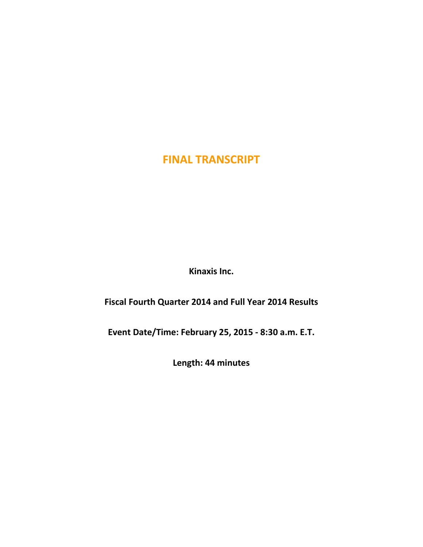**Kinaxis Inc.**

**Fiscal Fourth Quarter 2014 and Full Year 2014 Results**

**Event Date/Time: February 25, 2015 - 8:30 a.m. E.T.**

**Length: 44 minutes**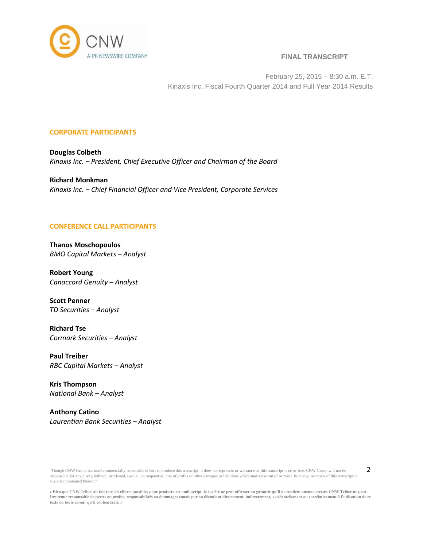

February 25, 2015 – 8:30 a.m. E.T. Kinaxis Inc. Fiscal Fourth Quarter 2014 and Full Year 2014 Results

## **CORPORATE PARTICIPANTS**

**Douglas Colbeth** *Kinaxis Inc. – President, Chief Executive Officer and Chairman of the Board*

**Richard Monkman** *Kinaxis Inc. – Chief Financial Officer and Vice President, Corporate Services*

# **CONFERENCE CALL PARTICIPANTS**

**Thanos Moschopoulos** *BMO Capital Markets – Analyst*

**Robert Young** *Canaccord Genuity – Analyst*

**Scott Penner** *TD Securities – Analyst*

**Richard Tse** *Cormark Securities – Analyst*

**Paul Treiber** *RBC Capital Markets – Analyst*

**Kris Thompson** *National Bank – Analyst*

**Anthony Catino** *Laurentian Bank Securities – Analyst*

"Though CNW Group has used commercially reasonable efforts to produce this transcript, it does not represent or warrant that this transcript is error-free. CNW Group will not be responsible for any direct, indirect, incidental, special, consequential, loss of profits or other damages or liabilities which may arise out of or result from any use made of this transcript or any error contained therein."

**<sup>«</sup> Bien que CNW Telbec ait fait tous les efforts possibles pour produire cet audioscript, la société ne peut affirmer ou garantir qu'il ne contient aucune erreur. CNW Telbec ne peut être tenue responsable de pertes ou profits, responsabilités ou dommages causés par ou découlant directement, indirectement, accidentellement ou corrélativement à l'utilisation de ce texte ou toute erreur qu'il contiendrait. »**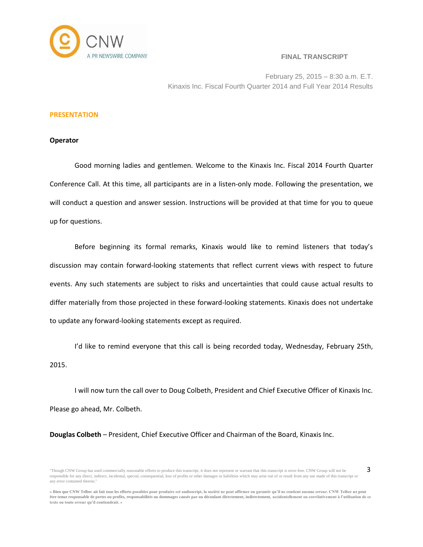

3

February 25, 2015 – 8:30 a.m. E.T. Kinaxis Inc. Fiscal Fourth Quarter 2014 and Full Year 2014 Results

#### **PRESENTATION**

#### **Operator**

Good morning ladies and gentlemen. Welcome to the Kinaxis Inc. Fiscal 2014 Fourth Quarter Conference Call. At this time, all participants are in a listen-only mode. Following the presentation, we will conduct a question and answer session. Instructions will be provided at that time for you to queue up for questions.

Before beginning its formal remarks, Kinaxis would like to remind listeners that today's discussion may contain forward-looking statements that reflect current views with respect to future events. Any such statements are subject to risks and uncertainties that could cause actual results to differ materially from those projected in these forward-looking statements. Kinaxis does not undertake to update any forward-looking statements except as required.

I'd like to remind everyone that this call is being recorded today, Wednesday, February 25th, 2015.

I will now turn the call over to Doug Colbeth, President and Chief Executive Officer of Kinaxis Inc. Please go ahead, Mr. Colbeth.

**Douglas Colbeth** – President, Chief Executive Officer and Chairman of the Board, Kinaxis Inc.

<sup>&</sup>quot;Though CNW Group has used commercially reasonable efforts to produce this transcript, it does not represent or warrant that this transcript is error-free. CNW Group will not be responsible for any direct, indirect, incidental, special, consequential, loss of profits or other damages or liabilities which may arise out of or result from any use made of this transcript or any error contained therein."

**<sup>«</sup> Bien que CNW Telbec ait fait tous les efforts possibles pour produire cet audioscript, la société ne peut affirmer ou garantir qu'il ne contient aucune erreur. CNW Telbec ne peut être tenue responsable de pertes ou profits, responsabilités ou dommages causés par ou découlant directement, indirectement, accidentellement ou corrélativement à l'utilisation de ce texte ou toute erreur qu'il contiendrait. »**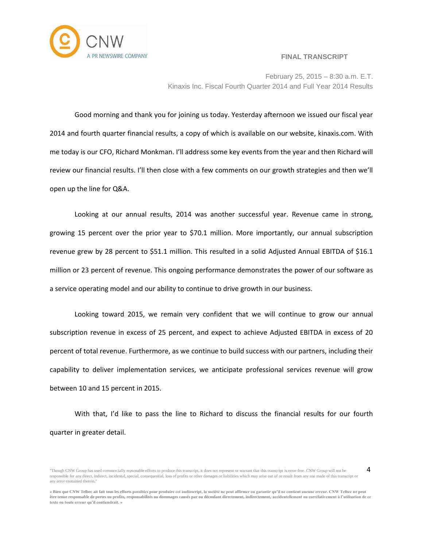

4



February 25, 2015 – 8:30 a.m. E.T. Kinaxis Inc. Fiscal Fourth Quarter 2014 and Full Year 2014 Results

Good morning and thank you for joining us today. Yesterday afternoon we issued our fiscal year 2014 and fourth quarter financial results, a copy of which is available on our website, kinaxis.com. With me today is our CFO, Richard Monkman. I'll address some key events from the year and then Richard will review our financial results. I'll then close with a few comments on our growth strategies and then we'll open up the line for Q&A.

Looking at our annual results, 2014 was another successful year. Revenue came in strong, growing 15 percent over the prior year to \$70.1 million. More importantly, our annual subscription revenue grew by 28 percent to \$51.1 million. This resulted in a solid Adjusted Annual EBITDA of \$16.1 million or 23 percent of revenue. This ongoing performance demonstrates the power of our software as a service operating model and our ability to continue to drive growth in our business.

Looking toward 2015, we remain very confident that we will continue to grow our annual subscription revenue in excess of 25 percent, and expect to achieve Adjusted EBITDA in excess of 20 percent of total revenue. Furthermore, as we continue to build success with our partners, including their capability to deliver implementation services, we anticipate professional services revenue will grow between 10 and 15 percent in 2015.

With that, I'd like to pass the line to Richard to discuss the financial results for our fourth quarter in greater detail.

<sup>&</sup>quot;Though CNW Group has used commercially reasonable efforts to produce this transcript, it does not represent or warrant that this transcript is error-free. CNW Group will not be responsible for any direct, indirect, incidental, special, consequential, loss of profits or other damages or liabilities which may arise out of or result from any use made of this transcript or any error contained therein."

**<sup>«</sup> Bien que CNW Telbec ait fait tous les efforts possibles pour produire cet audioscript, la société ne peut affirmer ou garantir qu'il ne contient aucune erreur. CNW Telbec ne peut être tenue responsable de pertes ou profits, responsabilités ou dommages causés par ou découlant directement, indirectement, accidentellement ou corrélativement à l'utilisation de ce texte ou toute erreur qu'il contiendrait. »**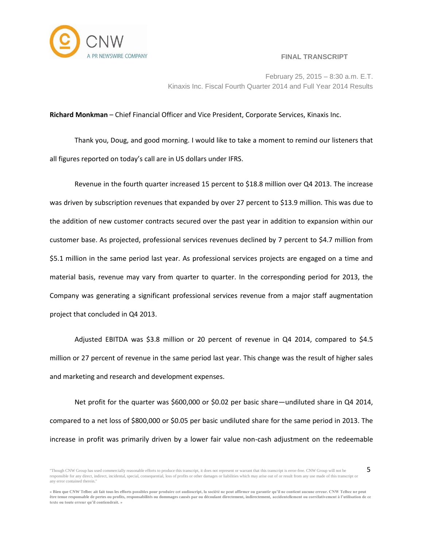

5

February 25, 2015 – 8:30 a.m. E.T. Kinaxis Inc. Fiscal Fourth Quarter 2014 and Full Year 2014 Results

## **Richard Monkman** – Chief Financial Officer and Vice President, Corporate Services, Kinaxis Inc.

Thank you, Doug, and good morning. I would like to take a moment to remind our listeners that all figures reported on today's call are in US dollars under IFRS.

Revenue in the fourth quarter increased 15 percent to \$18.8 million over Q4 2013. The increase was driven by subscription revenues that expanded by over 27 percent to \$13.9 million. This was due to the addition of new customer contracts secured over the past year in addition to expansion within our customer base. As projected, professional services revenues declined by 7 percent to \$4.7 million from \$5.1 million in the same period last year. As professional services projects are engaged on a time and material basis, revenue may vary from quarter to quarter. In the corresponding period for 2013, the Company was generating a significant professional services revenue from a major staff augmentation project that concluded in Q4 2013.

Adjusted EBITDA was \$3.8 million or 20 percent of revenue in Q4 2014, compared to \$4.5 million or 27 percent of revenue in the same period last year. This change was the result of higher sales and marketing and research and development expenses.

Net profit for the quarter was \$600,000 or \$0.02 per basic share—undiluted share in Q4 2014, compared to a net loss of \$800,000 or \$0.05 per basic undiluted share for the same period in 2013. The increase in profit was primarily driven by a lower fair value non-cash adjustment on the redeemable

<sup>&</sup>quot;Though CNW Group has used commercially reasonable efforts to produce this transcript, it does not represent or warrant that this transcript is error-free. CNW Group will not be responsible for any direct, indirect, incidental, special, consequential, loss of profits or other damages or liabilities which may arise out of or result from any use made of this transcript or any error contained therein."

**<sup>«</sup> Bien que CNW Telbec ait fait tous les efforts possibles pour produire cet audioscript, la société ne peut affirmer ou garantir qu'il ne contient aucune erreur. CNW Telbec ne peut être tenue responsable de pertes ou profits, responsabilités ou dommages causés par ou découlant directement, indirectement, accidentellement ou corrélativement à l'utilisation de ce texte ou toute erreur qu'il contiendrait. »**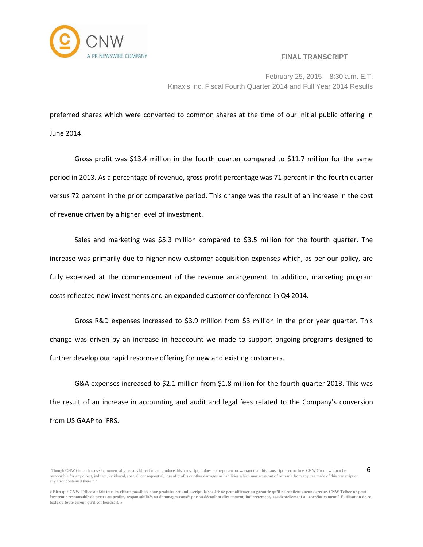

6

February 25, 2015 – 8:30 a.m. E.T. Kinaxis Inc. Fiscal Fourth Quarter 2014 and Full Year 2014 Results

preferred shares which were converted to common shares at the time of our initial public offering in June 2014.

Gross profit was \$13.4 million in the fourth quarter compared to \$11.7 million for the same period in 2013. As a percentage of revenue, gross profit percentage was 71 percent in the fourth quarter versus 72 percent in the prior comparative period. This change was the result of an increase in the cost of revenue driven by a higher level of investment.

Sales and marketing was \$5.3 million compared to \$3.5 million for the fourth quarter. The increase was primarily due to higher new customer acquisition expenses which, as per our policy, are fully expensed at the commencement of the revenue arrangement. In addition, marketing program costs reflected new investments and an expanded customer conference in Q4 2014.

Gross R&D expenses increased to \$3.9 million from \$3 million in the prior year quarter. This change was driven by an increase in headcount we made to support ongoing programs designed to further develop our rapid response offering for new and existing customers.

G&A expenses increased to \$2.1 million from \$1.8 million for the fourth quarter 2013. This was the result of an increase in accounting and audit and legal fees related to the Company's conversion from US GAAP to IFRS.

<sup>&</sup>quot;Though CNW Group has used commercially reasonable efforts to produce this transcript, it does not represent or warrant that this transcript is error-free. CNW Group will not be responsible for any direct, indirect, incidental, special, consequential, loss of profits or other damages or liabilities which may arise out of or result from any use made of this transcript or any error contained therein."

**<sup>«</sup> Bien que CNW Telbec ait fait tous les efforts possibles pour produire cet audioscript, la société ne peut affirmer ou garantir qu'il ne contient aucune erreur. CNW Telbec ne peut être tenue responsable de pertes ou profits, responsabilités ou dommages causés par ou découlant directement, indirectement, accidentellement ou corrélativement à l'utilisation de ce texte ou toute erreur qu'il contiendrait. »**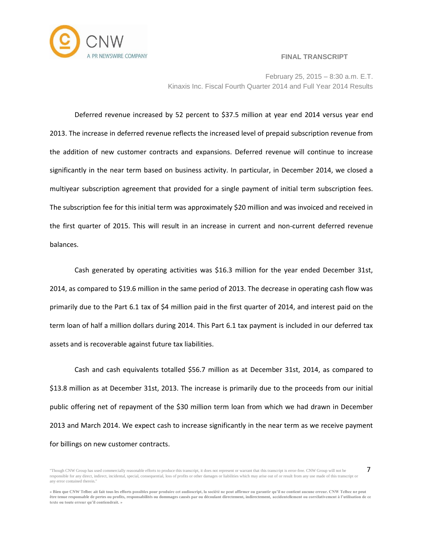

7

February 25, 2015 – 8:30 a.m. E.T. Kinaxis Inc. Fiscal Fourth Quarter 2014 and Full Year 2014 Results

Deferred revenue increased by 52 percent to \$37.5 million at year end 2014 versus year end 2013. The increase in deferred revenue reflects the increased level of prepaid subscription revenue from the addition of new customer contracts and expansions. Deferred revenue will continue to increase significantly in the near term based on business activity. In particular, in December 2014, we closed a multiyear subscription agreement that provided for a single payment of initial term subscription fees. The subscription fee for this initial term was approximately \$20 million and was invoiced and received in the first quarter of 2015. This will result in an increase in current and non-current deferred revenue balances.

Cash generated by operating activities was \$16.3 million for the year ended December 31st, 2014, as compared to \$19.6 million in the same period of 2013. The decrease in operating cash flow was primarily due to the Part 6.1 tax of \$4 million paid in the first quarter of 2014, and interest paid on the term loan of half a million dollars during 2014. This Part 6.1 tax payment is included in our deferred tax assets and is recoverable against future tax liabilities.

Cash and cash equivalents totalled \$56.7 million as at December 31st, 2014, as compared to \$13.8 million as at December 31st, 2013. The increase is primarily due to the proceeds from our initial public offering net of repayment of the \$30 million term loan from which we had drawn in December 2013 and March 2014. We expect cash to increase significantly in the near term as we receive payment for billings on new customer contracts.

<sup>&</sup>quot;Though CNW Group has used commercially reasonable efforts to produce this transcript, it does not represent or warrant that this transcript is error-free. CNW Group will not be responsible for any direct, indirect, incidental, special, consequential, loss of profits or other damages or liabilities which may arise out of or result from any use made of this transcript or any error contained therein."

**<sup>«</sup> Bien que CNW Telbec ait fait tous les efforts possibles pour produire cet audioscript, la société ne peut affirmer ou garantir qu'il ne contient aucune erreur. CNW Telbec ne peut être tenue responsable de pertes ou profits, responsabilités ou dommages causés par ou découlant directement, indirectement, accidentellement ou corrélativement à l'utilisation de ce texte ou toute erreur qu'il contiendrait. »**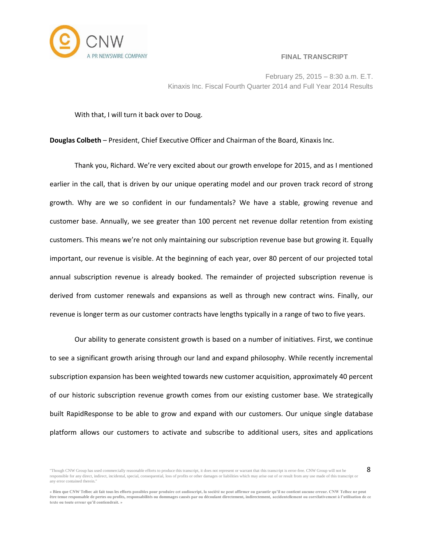

8

February 25, 2015 – 8:30 a.m. E.T. Kinaxis Inc. Fiscal Fourth Quarter 2014 and Full Year 2014 Results

With that, I will turn it back over to Doug.

**Douglas Colbeth** – President, Chief Executive Officer and Chairman of the Board, Kinaxis Inc.

Thank you, Richard. We're very excited about our growth envelope for 2015, and as I mentioned earlier in the call, that is driven by our unique operating model and our proven track record of strong growth. Why are we so confident in our fundamentals? We have a stable, growing revenue and customer base. Annually, we see greater than 100 percent net revenue dollar retention from existing customers. This means we're not only maintaining our subscription revenue base but growing it. Equally important, our revenue is visible. At the beginning of each year, over 80 percent of our projected total annual subscription revenue is already booked. The remainder of projected subscription revenue is derived from customer renewals and expansions as well as through new contract wins. Finally, our revenue is longer term as our customer contracts have lengths typically in a range of two to five years.

Our ability to generate consistent growth is based on a number of initiatives. First, we continue to see a significant growth arising through our land and expand philosophy. While recently incremental subscription expansion has been weighted towards new customer acquisition, approximately 40 percent of our historic subscription revenue growth comes from our existing customer base. We strategically built RapidResponse to be able to grow and expand with our customers. Our unique single database platform allows our customers to activate and subscribe to additional users, sites and applications

<sup>&</sup>quot;Though CNW Group has used commercially reasonable efforts to produce this transcript, it does not represent or warrant that this transcript is error-free. CNW Group will not be responsible for any direct, indirect, incidental, special, consequential, loss of profits or other damages or liabilities which may arise out of or result from any use made of this transcript or any error contained therein."

**<sup>«</sup> Bien que CNW Telbec ait fait tous les efforts possibles pour produire cet audioscript, la société ne peut affirmer ou garantir qu'il ne contient aucune erreur. CNW Telbec ne peut être tenue responsable de pertes ou profits, responsabilités ou dommages causés par ou découlant directement, indirectement, accidentellement ou corrélativement à l'utilisation de ce texte ou toute erreur qu'il contiendrait. »**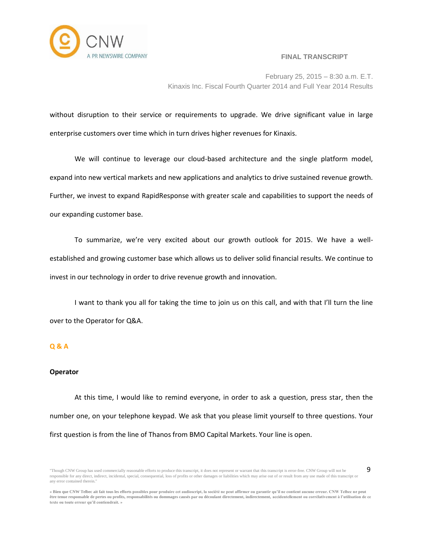

9

February 25, 2015 – 8:30 a.m. E.T. Kinaxis Inc. Fiscal Fourth Quarter 2014 and Full Year 2014 Results

without disruption to their service or requirements to upgrade. We drive significant value in large enterprise customers over time which in turn drives higher revenues for Kinaxis.

We will continue to leverage our cloud-based architecture and the single platform model, expand into new vertical markets and new applications and analytics to drive sustained revenue growth. Further, we invest to expand RapidResponse with greater scale and capabilities to support the needs of our expanding customer base.

To summarize, we're very excited about our growth outlook for 2015. We have a wellestablished and growing customer base which allows us to deliver solid financial results. We continue to invest in our technology in order to drive revenue growth and innovation.

I want to thank you all for taking the time to join us on this call, and with that I'll turn the line over to the Operator for Q&A.

## **Q & A**

#### **Operator**

At this time, I would like to remind everyone, in order to ask a question, press star, then the number one, on your telephone keypad. We ask that you please limit yourself to three questions. Your first question is from the line of Thanos from BMO Capital Markets. Your line is open.

<sup>&</sup>quot;Though CNW Group has used commercially reasonable efforts to produce this transcript, it does not represent or warrant that this transcript is error-free. CNW Group will not be responsible for any direct, indirect, incidental, special, consequential, loss of profits or other damages or liabilities which may arise out of or result from any use made of this transcript or any error contained therein."

**<sup>«</sup> Bien que CNW Telbec ait fait tous les efforts possibles pour produire cet audioscript, la société ne peut affirmer ou garantir qu'il ne contient aucune erreur. CNW Telbec ne peut être tenue responsable de pertes ou profits, responsabilités ou dommages causés par ou découlant directement, indirectement, accidentellement ou corrélativement à l'utilisation de ce texte ou toute erreur qu'il contiendrait. »**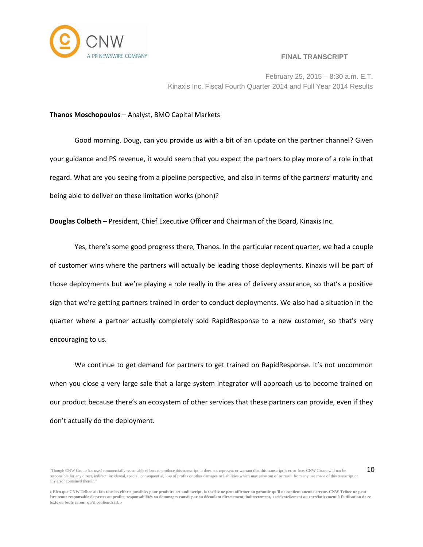

10

February 25, 2015 – 8:30 a.m. E.T. Kinaxis Inc. Fiscal Fourth Quarter 2014 and Full Year 2014 Results

#### **Thanos Moschopoulos** – Analyst, BMO Capital Markets

Good morning. Doug, can you provide us with a bit of an update on the partner channel? Given your guidance and PS revenue, it would seem that you expect the partners to play more of a role in that regard. What are you seeing from a pipeline perspective, and also in terms of the partners' maturity and being able to deliver on these limitation works (phon)?

**Douglas Colbeth** – President, Chief Executive Officer and Chairman of the Board, Kinaxis Inc.

Yes, there's some good progress there, Thanos. In the particular recent quarter, we had a couple of customer wins where the partners will actually be leading those deployments. Kinaxis will be part of those deployments but we're playing a role really in the area of delivery assurance, so that's a positive sign that we're getting partners trained in order to conduct deployments. We also had a situation in the quarter where a partner actually completely sold RapidResponse to a new customer, so that's very encouraging to us.

We continue to get demand for partners to get trained on RapidResponse. It's not uncommon when you close a very large sale that a large system integrator will approach us to become trained on our product because there's an ecosystem of other services that these partners can provide, even if they don't actually do the deployment.

<sup>&</sup>quot;Though CNW Group has used commercially reasonable efforts to produce this transcript, it does not represent or warrant that this transcript is error-free. CNW Group will not be responsible for any direct, indirect, incidental, special, consequential, loss of profits or other damages or liabilities which may arise out of or result from any use made of this transcript or any error contained therein."

**<sup>«</sup> Bien que CNW Telbec ait fait tous les efforts possibles pour produire cet audioscript, la société ne peut affirmer ou garantir qu'il ne contient aucune erreur. CNW Telbec ne peut être tenue responsable de pertes ou profits, responsabilités ou dommages causés par ou découlant directement, indirectement, accidentellement ou corrélativement à l'utilisation de ce texte ou toute erreur qu'il contiendrait. »**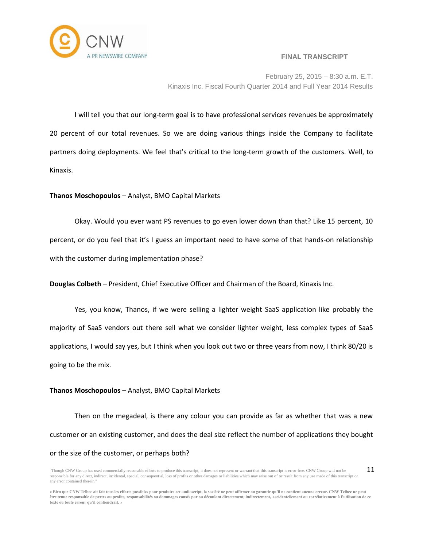

February 25, 2015 – 8:30 a.m. E.T. Kinaxis Inc. Fiscal Fourth Quarter 2014 and Full Year 2014 Results

I will tell you that our long-term goal is to have professional services revenues be approximately 20 percent of our total revenues. So we are doing various things inside the Company to facilitate partners doing deployments. We feel that's critical to the long-term growth of the customers. Well, to Kinaxis.

## **Thanos Moschopoulos** – Analyst, BMO Capital Markets

Okay. Would you ever want PS revenues to go even lower down than that? Like 15 percent, 10 percent, or do you feel that it's I guess an important need to have some of that hands-on relationship with the customer during implementation phase?

**Douglas Colbeth** – President, Chief Executive Officer and Chairman of the Board, Kinaxis Inc.

Yes, you know, Thanos, if we were selling a lighter weight SaaS application like probably the majority of SaaS vendors out there sell what we consider lighter weight, less complex types of SaaS applications, I would say yes, but I think when you look out two or three years from now, I think 80/20 is going to be the mix.

## **Thanos Moschopoulos** – Analyst, BMO Capital Markets

Then on the megadeal, is there any colour you can provide as far as whether that was a new customer or an existing customer, and does the deal size reflect the number of applications they bought or the size of the customer, or perhaps both?

<sup>&</sup>quot;Though CNW Group has used commercially reasonable efforts to produce this transcript, it does not represent or warrant that this transcript is error-free. CNW Group will not be responsible for any direct, indirect, incidental, special, consequential, loss of profits or other damages or liabilities which may arise out of or result from any use made of this transcript or any error contained therein." 11

**<sup>«</sup> Bien que CNW Telbec ait fait tous les efforts possibles pour produire cet audioscript, la société ne peut affirmer ou garantir qu'il ne contient aucune erreur. CNW Telbec ne peut être tenue responsable de pertes ou profits, responsabilités ou dommages causés par ou découlant directement, indirectement, accidentellement ou corrélativement à l'utilisation de ce texte ou toute erreur qu'il contiendrait. »**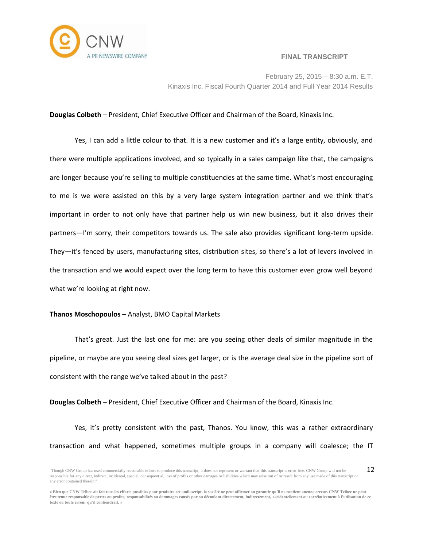

February 25, 2015 – 8:30 a.m. E.T. Kinaxis Inc. Fiscal Fourth Quarter 2014 and Full Year 2014 Results

#### **Douglas Colbeth** – President, Chief Executive Officer and Chairman of the Board, Kinaxis Inc.

Yes, I can add a little colour to that. It is a new customer and it's a large entity, obviously, and there were multiple applications involved, and so typically in a sales campaign like that, the campaigns are longer because you're selling to multiple constituencies at the same time. What's most encouraging to me is we were assisted on this by a very large system integration partner and we think that's important in order to not only have that partner help us win new business, but it also drives their partners—I'm sorry, their competitors towards us. The sale also provides significant long-term upside. They—it's fenced by users, manufacturing sites, distribution sites, so there's a lot of levers involved in the transaction and we would expect over the long term to have this customer even grow well beyond what we're looking at right now.

#### **Thanos Moschopoulos** – Analyst, BMO Capital Markets

That's great. Just the last one for me: are you seeing other deals of similar magnitude in the pipeline, or maybe are you seeing deal sizes get larger, or is the average deal size in the pipeline sort of consistent with the range we've talked about in the past?

**Douglas Colbeth** – President, Chief Executive Officer and Chairman of the Board, Kinaxis Inc.

Yes, it's pretty consistent with the past, Thanos. You know, this was a rather extraordinary transaction and what happened, sometimes multiple groups in a company will coalesce; the IT

<sup>&</sup>quot;Though CNW Group has used commercially reasonable efforts to produce this transcript, it does not represent or warrant that this transcript is error-free. CNW Group will not be responsible for any direct, indirect, incidental, special, consequential, loss of profits or other damages or liabilities which may arise out of or result from any use made of this transcript or any error contained therein." 12

**<sup>«</sup> Bien que CNW Telbec ait fait tous les efforts possibles pour produire cet audioscript, la société ne peut affirmer ou garantir qu'il ne contient aucune erreur. CNW Telbec ne peut être tenue responsable de pertes ou profits, responsabilités ou dommages causés par ou découlant directement, indirectement, accidentellement ou corrélativement à l'utilisation de ce texte ou toute erreur qu'il contiendrait. »**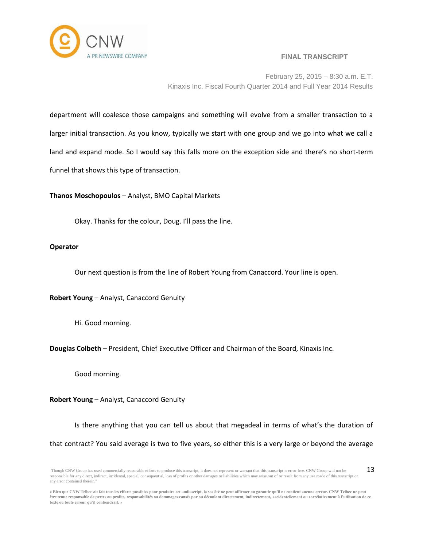

February 25, 2015 – 8:30 a.m. E.T. Kinaxis Inc. Fiscal Fourth Quarter 2014 and Full Year 2014 Results

department will coalesce those campaigns and something will evolve from a smaller transaction to a larger initial transaction. As you know, typically we start with one group and we go into what we call a land and expand mode. So I would say this falls more on the exception side and there's no short-term funnel that shows this type of transaction.

**Thanos Moschopoulos** – Analyst, BMO Capital Markets

Okay. Thanks for the colour, Doug. I'll pass the line.

## **Operator**

Our next question is from the line of Robert Young from Canaccord. Your line is open.

**Robert Young** – Analyst, Canaccord Genuity

Hi. Good morning.

**Douglas Colbeth** – President, Chief Executive Officer and Chairman of the Board, Kinaxis Inc.

Good morning.

## **Robert Young** – Analyst, Canaccord Genuity

Is there anything that you can tell us about that megadeal in terms of what's the duration of that contract? You said average is two to five years, so either this is a very large or beyond the average

<sup>&</sup>quot;Though CNW Group has used commercially reasonable efforts to produce this transcript, it does not represent or warrant that this transcript is error-free. CNW Group will not be responsible for any direct, indirect, incidental, special, consequential, loss of profits or other damages or liabilities which may arise out of or result from any use made of this transcript or any error contained therein." 13

**<sup>«</sup> Bien que CNW Telbec ait fait tous les efforts possibles pour produire cet audioscript, la société ne peut affirmer ou garantir qu'il ne contient aucune erreur. CNW Telbec ne peut être tenue responsable de pertes ou profits, responsabilités ou dommages causés par ou découlant directement, indirectement, accidentellement ou corrélativement à l'utilisation de ce texte ou toute erreur qu'il contiendrait. »**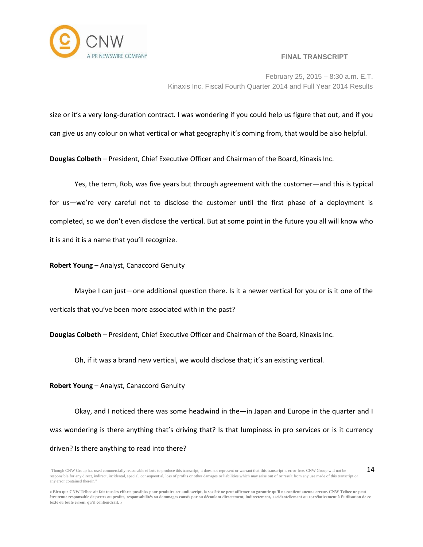

February 25, 2015 – 8:30 a.m. E.T. Kinaxis Inc. Fiscal Fourth Quarter 2014 and Full Year 2014 Results

size or it's a very long-duration contract. I was wondering if you could help us figure that out, and if you

can give us any colour on what vertical or what geography it's coming from, that would be also helpful.

**Douglas Colbeth** – President, Chief Executive Officer and Chairman of the Board, Kinaxis Inc.

Yes, the term, Rob, was five years but through agreement with the customer—and this is typical for us—we're very careful not to disclose the customer until the first phase of a deployment is completed, so we don't even disclose the vertical. But at some point in the future you all will know who it is and it is a name that you'll recognize.

## **Robert Young** – Analyst, Canaccord Genuity

Maybe I can just—one additional question there. Is it a newer vertical for you or is it one of the verticals that you've been more associated with in the past?

**Douglas Colbeth** – President, Chief Executive Officer and Chairman of the Board, Kinaxis Inc.

Oh, if it was a brand new vertical, we would disclose that; it's an existing vertical.

## **Robert Young** – Analyst, Canaccord Genuity

Okay, and I noticed there was some headwind in the—in Japan and Europe in the quarter and I was wondering is there anything that's driving that? Is that lumpiness in pro services or is it currency driven? Is there anything to read into there?

<sup>&</sup>quot;Though CNW Group has used commercially reasonable efforts to produce this transcript, it does not represent or warrant that this transcript is error-free. CNW Group will not be responsible for any direct, indirect, incidental, special, consequential, loss of profits or other damages or liabilities which may arise out of or result from any use made of this transcript or any error contained therein." 14

**<sup>«</sup> Bien que CNW Telbec ait fait tous les efforts possibles pour produire cet audioscript, la société ne peut affirmer ou garantir qu'il ne contient aucune erreur. CNW Telbec ne peut être tenue responsable de pertes ou profits, responsabilités ou dommages causés par ou découlant directement, indirectement, accidentellement ou corrélativement à l'utilisation de ce texte ou toute erreur qu'il contiendrait. »**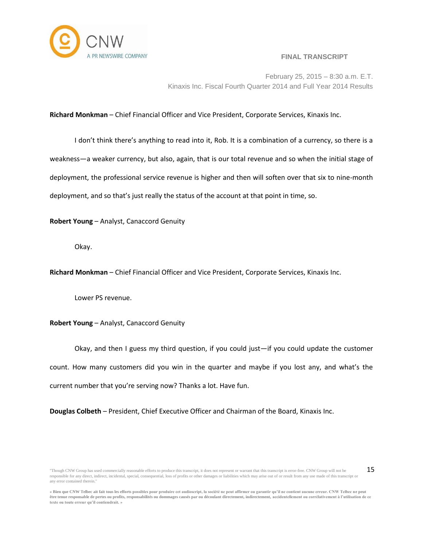

15

February 25, 2015 – 8:30 a.m. E.T. Kinaxis Inc. Fiscal Fourth Quarter 2014 and Full Year 2014 Results

# **Richard Monkman** – Chief Financial Officer and Vice President, Corporate Services, Kinaxis Inc.

I don't think there's anything to read into it, Rob. It is a combination of a currency, so there is a weakness—a weaker currency, but also, again, that is our total revenue and so when the initial stage of deployment, the professional service revenue is higher and then will soften over that six to nine-month deployment, and so that's just really the status of the account at that point in time, so.

**Robert Young** – Analyst, Canaccord Genuity

Okay.

**Richard Monkman** – Chief Financial Officer and Vice President, Corporate Services, Kinaxis Inc.

Lower PS revenue.

**Robert Young** – Analyst, Canaccord Genuity

Okay, and then I guess my third question, if you could just—if you could update the customer count. How many customers did you win in the quarter and maybe if you lost any, and what's the current number that you're serving now? Thanks a lot. Have fun.

**Douglas Colbeth** – President, Chief Executive Officer and Chairman of the Board, Kinaxis Inc.

<sup>&</sup>quot;Though CNW Group has used commercially reasonable efforts to produce this transcript, it does not represent or warrant that this transcript is error-free. CNW Group will not be responsible for any direct, indirect, incidental, special, consequential, loss of profits or other damages or liabilities which may arise out of or result from any use made of this transcript or any error contained therein."

**<sup>«</sup> Bien que CNW Telbec ait fait tous les efforts possibles pour produire cet audioscript, la société ne peut affirmer ou garantir qu'il ne contient aucune erreur. CNW Telbec ne peut être tenue responsable de pertes ou profits, responsabilités ou dommages causés par ou découlant directement, indirectement, accidentellement ou corrélativement à l'utilisation de ce texte ou toute erreur qu'il contiendrait. »**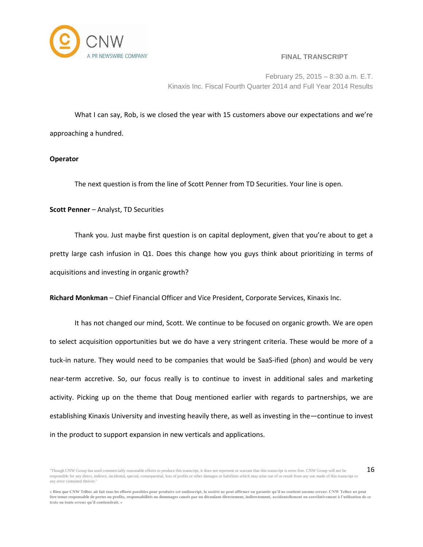

16

February 25, 2015 – 8:30 a.m. E.T. Kinaxis Inc. Fiscal Fourth Quarter 2014 and Full Year 2014 Results

What I can say, Rob, is we closed the year with 15 customers above our expectations and we're approaching a hundred.

## **Operator**

The next question is from the line of Scott Penner from TD Securities. Your line is open.

## **Scott Penner** – Analyst, TD Securities

Thank you. Just maybe first question is on capital deployment, given that you're about to get a pretty large cash infusion in Q1. Does this change how you guys think about prioritizing in terms of acquisitions and investing in organic growth?

**Richard Monkman** – Chief Financial Officer and Vice President, Corporate Services, Kinaxis Inc.

It has not changed our mind, Scott. We continue to be focused on organic growth. We are open to select acquisition opportunities but we do have a very stringent criteria. These would be more of a tuck-in nature. They would need to be companies that would be SaaS-ified (phon) and would be very near-term accretive. So, our focus really is to continue to invest in additional sales and marketing activity. Picking up on the theme that Doug mentioned earlier with regards to partnerships, we are establishing Kinaxis University and investing heavily there, as well as investing in the—continue to invest in the product to support expansion in new verticals and applications.

<sup>&</sup>quot;Though CNW Group has used commercially reasonable efforts to produce this transcript, it does not represent or warrant that this transcript is error-free. CNW Group will not be responsible for any direct, indirect, incidental, special, consequential, loss of profits or other damages or liabilities which may arise out of or result from any use made of this transcript or any error contained therein."

**<sup>«</sup> Bien que CNW Telbec ait fait tous les efforts possibles pour produire cet audioscript, la société ne peut affirmer ou garantir qu'il ne contient aucune erreur. CNW Telbec ne peut être tenue responsable de pertes ou profits, responsabilités ou dommages causés par ou découlant directement, indirectement, accidentellement ou corrélativement à l'utilisation de ce texte ou toute erreur qu'il contiendrait. »**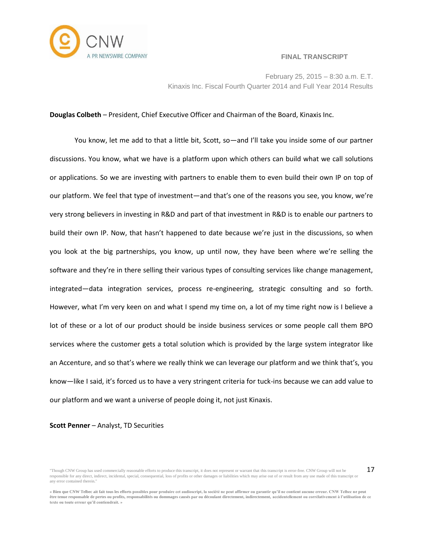

17



February 25, 2015 – 8:30 a.m. E.T. Kinaxis Inc. Fiscal Fourth Quarter 2014 and Full Year 2014 Results

## **Douglas Colbeth** – President, Chief Executive Officer and Chairman of the Board, Kinaxis Inc.

You know, let me add to that a little bit, Scott, so—and I'll take you inside some of our partner discussions. You know, what we have is a platform upon which others can build what we call solutions or applications. So we are investing with partners to enable them to even build their own IP on top of our platform. We feel that type of investment—and that's one of the reasons you see, you know, we're very strong believers in investing in R&D and part of that investment in R&D is to enable our partners to build their own IP. Now, that hasn't happened to date because we're just in the discussions, so when you look at the big partnerships, you know, up until now, they have been where we're selling the software and they're in there selling their various types of consulting services like change management, integrated—data integration services, process re-engineering, strategic consulting and so forth. However, what I'm very keen on and what I spend my time on, a lot of my time right now is I believe a lot of these or a lot of our product should be inside business services or some people call them BPO services where the customer gets a total solution which is provided by the large system integrator like an Accenture, and so that's where we really think we can leverage our platform and we think that's, you know—like I said, it's forced us to have a very stringent criteria for tuck-ins because we can add value to our platform and we want a universe of people doing it, not just Kinaxis.

**Scott Penner** – Analyst, TD Securities

<sup>&</sup>quot;Though CNW Group has used commercially reasonable efforts to produce this transcript, it does not represent or warrant that this transcript is error-free. CNW Group will not be responsible for any direct, indirect, incidental, special, consequential, loss of profits or other damages or liabilities which may arise out of or result from any use made of this transcript or any error contained therein."

**<sup>«</sup> Bien que CNW Telbec ait fait tous les efforts possibles pour produire cet audioscript, la société ne peut affirmer ou garantir qu'il ne contient aucune erreur. CNW Telbec ne peut être tenue responsable de pertes ou profits, responsabilités ou dommages causés par ou découlant directement, indirectement, accidentellement ou corrélativement à l'utilisation de ce texte ou toute erreur qu'il contiendrait. »**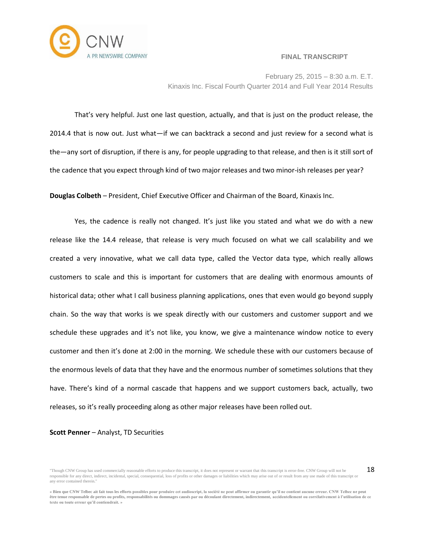

February 25, 2015 – 8:30 a.m. E.T. Kinaxis Inc. Fiscal Fourth Quarter 2014 and Full Year 2014 Results

That's very helpful. Just one last question, actually, and that is just on the product release, the 2014.4 that is now out. Just what—if we can backtrack a second and just review for a second what is the—any sort of disruption, if there is any, for people upgrading to that release, and then is it still sort of the cadence that you expect through kind of two major releases and two minor-ish releases per year?

**Douglas Colbeth** – President, Chief Executive Officer and Chairman of the Board, Kinaxis Inc.

Yes, the cadence is really not changed. It's just like you stated and what we do with a new release like the 14.4 release, that release is very much focused on what we call scalability and we created a very innovative, what we call data type, called the Vector data type, which really allows customers to scale and this is important for customers that are dealing with enormous amounts of historical data; other what I call business planning applications, ones that even would go beyond supply chain. So the way that works is we speak directly with our customers and customer support and we schedule these upgrades and it's not like, you know, we give a maintenance window notice to every customer and then it's done at 2:00 in the morning. We schedule these with our customers because of the enormous levels of data that they have and the enormous number of sometimes solutions that they have. There's kind of a normal cascade that happens and we support customers back, actually, two releases, so it's really proceeding along as other major releases have been rolled out.

#### **Scott Penner** – Analyst, TD Securities

<sup>&</sup>quot;Though CNW Group has used commercially reasonable efforts to produce this transcript, it does not represent or warrant that this transcript is error-free. CNW Group will not be responsible for any direct, indirect, incidental, special, consequential, loss of profits or other damages or liabilities which may arise out of or result from any use made of this transcript or any error contained therein."

**<sup>«</sup> Bien que CNW Telbec ait fait tous les efforts possibles pour produire cet audioscript, la société ne peut affirmer ou garantir qu'il ne contient aucune erreur. CNW Telbec ne peut être tenue responsable de pertes ou profits, responsabilités ou dommages causés par ou découlant directement, indirectement, accidentellement ou corrélativement à l'utilisation de ce texte ou toute erreur qu'il contiendrait. »**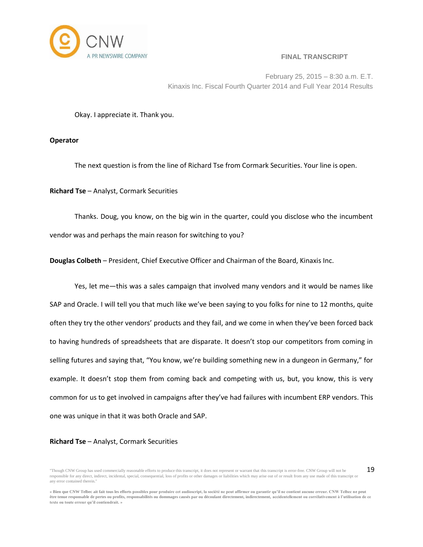

19

February 25, 2015 – 8:30 a.m. E.T. Kinaxis Inc. Fiscal Fourth Quarter 2014 and Full Year 2014 Results

Okay. I appreciate it. Thank you.

**Operator**

The next question is from the line of Richard Tse from Cormark Securities. Your line is open.

**Richard Tse** – Analyst, Cormark Securities

Thanks. Doug, you know, on the big win in the quarter, could you disclose who the incumbent vendor was and perhaps the main reason for switching to you?

**Douglas Colbeth** – President, Chief Executive Officer and Chairman of the Board, Kinaxis Inc.

Yes, let me—this was a sales campaign that involved many vendors and it would be names like SAP and Oracle. I will tell you that much like we've been saying to you folks for nine to 12 months, quite often they try the other vendors' products and they fail, and we come in when they've been forced back to having hundreds of spreadsheets that are disparate. It doesn't stop our competitors from coming in selling futures and saying that, "You know, we're building something new in a dungeon in Germany," for example. It doesn't stop them from coming back and competing with us, but, you know, this is very common for us to get involved in campaigns after they've had failures with incumbent ERP vendors. This one was unique in that it was both Oracle and SAP.

## **Richard Tse** – Analyst, Cormark Securities

<sup>&</sup>quot;Though CNW Group has used commercially reasonable efforts to produce this transcript, it does not represent or warrant that this transcript is error-free. CNW Group will not be responsible for any direct, indirect, incidental, special, consequential, loss of profits or other damages or liabilities which may arise out of or result from any use made of this transcript or any error contained therein."

**<sup>«</sup> Bien que CNW Telbec ait fait tous les efforts possibles pour produire cet audioscript, la société ne peut affirmer ou garantir qu'il ne contient aucune erreur. CNW Telbec ne peut être tenue responsable de pertes ou profits, responsabilités ou dommages causés par ou découlant directement, indirectement, accidentellement ou corrélativement à l'utilisation de ce texte ou toute erreur qu'il contiendrait. »**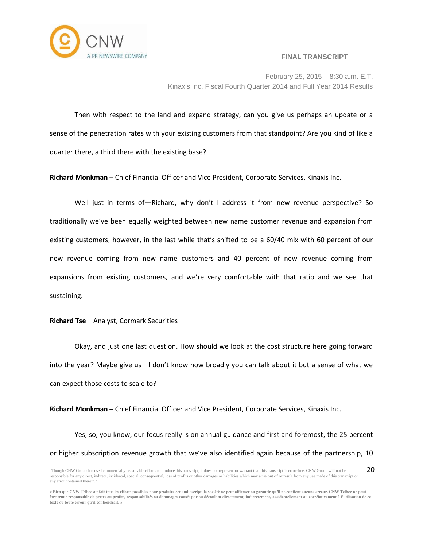

February 25, 2015 – 8:30 a.m. E.T. Kinaxis Inc. Fiscal Fourth Quarter 2014 and Full Year 2014 Results

Then with respect to the land and expand strategy, can you give us perhaps an update or a sense of the penetration rates with your existing customers from that standpoint? Are you kind of like a quarter there, a third there with the existing base?

**Richard Monkman** – Chief Financial Officer and Vice President, Corporate Services, Kinaxis Inc.

Well just in terms of-Richard, why don't I address it from new revenue perspective? So traditionally we've been equally weighted between new name customer revenue and expansion from existing customers, however, in the last while that's shifted to be a 60/40 mix with 60 percent of our new revenue coming from new name customers and 40 percent of new revenue coming from expansions from existing customers, and we're very comfortable with that ratio and we see that sustaining.

## **Richard Tse** – Analyst, Cormark Securities

Okay, and just one last question. How should we look at the cost structure here going forward into the year? Maybe give us—I don't know how broadly you can talk about it but a sense of what we can expect those costs to scale to?

**Richard Monkman** – Chief Financial Officer and Vice President, Corporate Services, Kinaxis Inc.

Yes, so, you know, our focus really is on annual guidance and first and foremost, the 25 percent or higher subscription revenue growth that we've also identified again because of the partnership, 10

<sup>&</sup>quot;Though CNW Group has used commercially reasonable efforts to produce this transcript, it does not represent or warrant that this transcript is error-free. CNW Group will not be responsible for any direct, indirect, incidental, special, consequential, loss of profits or other damages or liabilities which may arise out of or result from any use made of this transcript or any error contained therein." 20

**<sup>«</sup> Bien que CNW Telbec ait fait tous les efforts possibles pour produire cet audioscript, la société ne peut affirmer ou garantir qu'il ne contient aucune erreur. CNW Telbec ne peut être tenue responsable de pertes ou profits, responsabilités ou dommages causés par ou découlant directement, indirectement, accidentellement ou corrélativement à l'utilisation de ce texte ou toute erreur qu'il contiendrait. »**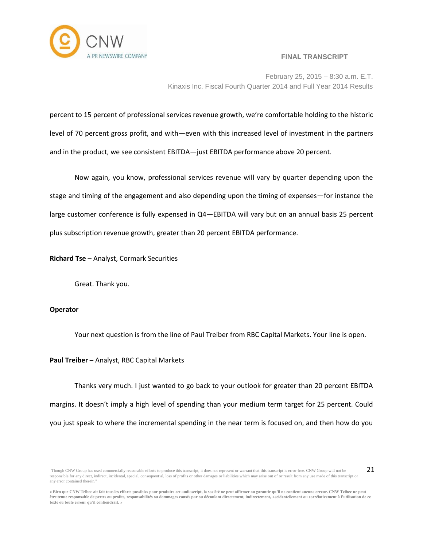

21

February 25, 2015 – 8:30 a.m. E.T. Kinaxis Inc. Fiscal Fourth Quarter 2014 and Full Year 2014 Results

percent to 15 percent of professional services revenue growth, we're comfortable holding to the historic level of 70 percent gross profit, and with—even with this increased level of investment in the partners and in the product, we see consistent EBITDA—just EBITDA performance above 20 percent.

Now again, you know, professional services revenue will vary by quarter depending upon the stage and timing of the engagement and also depending upon the timing of expenses—for instance the large customer conference is fully expensed in Q4—EBITDA will vary but on an annual basis 25 percent plus subscription revenue growth, greater than 20 percent EBITDA performance.

**Richard Tse** – Analyst, Cormark Securities

Great. Thank you.

## **Operator**

Your next question is from the line of Paul Treiber from RBC Capital Markets. Your line is open.

## **Paul Treiber** – Analyst, RBC Capital Markets

Thanks very much. I just wanted to go back to your outlook for greater than 20 percent EBITDA margins. It doesn't imply a high level of spending than your medium term target for 25 percent. Could you just speak to where the incremental spending in the near term is focused on, and then how do you

<sup>&</sup>quot;Though CNW Group has used commercially reasonable efforts to produce this transcript, it does not represent or warrant that this transcript is error-free. CNW Group will not be responsible for any direct, indirect, incidental, special, consequential, loss of profits or other damages or liabilities which may arise out of or result from any use made of this transcript or any error contained therein."

**<sup>«</sup> Bien que CNW Telbec ait fait tous les efforts possibles pour produire cet audioscript, la société ne peut affirmer ou garantir qu'il ne contient aucune erreur. CNW Telbec ne peut être tenue responsable de pertes ou profits, responsabilités ou dommages causés par ou découlant directement, indirectement, accidentellement ou corrélativement à l'utilisation de ce texte ou toute erreur qu'il contiendrait. »**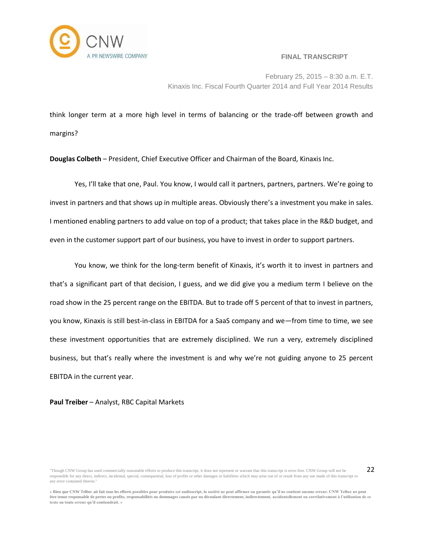

22

February 25, 2015 – 8:30 a.m. E.T. Kinaxis Inc. Fiscal Fourth Quarter 2014 and Full Year 2014 Results

think longer term at a more high level in terms of balancing or the trade-off between growth and margins?

**Douglas Colbeth** – President, Chief Executive Officer and Chairman of the Board, Kinaxis Inc.

Yes, I'll take that one, Paul. You know, I would call it partners, partners, partners. We're going to invest in partners and that shows up in multiple areas. Obviously there's a investment you make in sales. I mentioned enabling partners to add value on top of a product; that takes place in the R&D budget, and even in the customer support part of our business, you have to invest in order to support partners.

You know, we think for the long-term benefit of Kinaxis, it's worth it to invest in partners and that's a significant part of that decision, I guess, and we did give you a medium term I believe on the road show in the 25 percent range on the EBITDA. But to trade off 5 percent of that to invest in partners, you know, Kinaxis is still best-in-class in EBITDA for a SaaS company and we—from time to time, we see these investment opportunities that are extremely disciplined. We run a very, extremely disciplined business, but that's really where the investment is and why we're not guiding anyone to 25 percent EBITDA in the current year.

**Paul Treiber** – Analyst, RBC Capital Markets

<sup>&</sup>quot;Though CNW Group has used commercially reasonable efforts to produce this transcript, it does not represent or warrant that this transcript is error-free. CNW Group will not be responsible for any direct, indirect, incidental, special, consequential, loss of profits or other damages or liabilities which may arise out of or result from any use made of this transcript or any error contained therein."

**<sup>«</sup> Bien que CNW Telbec ait fait tous les efforts possibles pour produire cet audioscript, la société ne peut affirmer ou garantir qu'il ne contient aucune erreur. CNW Telbec ne peut être tenue responsable de pertes ou profits, responsabilités ou dommages causés par ou découlant directement, indirectement, accidentellement ou corrélativement à l'utilisation de ce texte ou toute erreur qu'il contiendrait. »**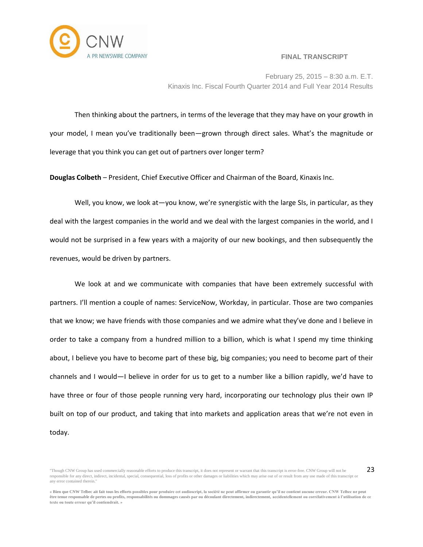

23

February 25, 2015 – 8:30 a.m. E.T. Kinaxis Inc. Fiscal Fourth Quarter 2014 and Full Year 2014 Results

Then thinking about the partners, in terms of the leverage that they may have on your growth in your model, I mean you've traditionally been—grown through direct sales. What's the magnitude or leverage that you think you can get out of partners over longer term?

**Douglas Colbeth** – President, Chief Executive Officer and Chairman of the Board, Kinaxis Inc.

Well, you know, we look at—you know, we're synergistic with the large SIs, in particular, as they deal with the largest companies in the world and we deal with the largest companies in the world, and I would not be surprised in a few years with a majority of our new bookings, and then subsequently the revenues, would be driven by partners.

We look at and we communicate with companies that have been extremely successful with partners. I'll mention a couple of names: ServiceNow, Workday, in particular. Those are two companies that we know; we have friends with those companies and we admire what they've done and I believe in order to take a company from a hundred million to a billion, which is what I spend my time thinking about, I believe you have to become part of these big, big companies; you need to become part of their channels and I would—I believe in order for us to get to a number like a billion rapidly, we'd have to have three or four of those people running very hard, incorporating our technology plus their own IP built on top of our product, and taking that into markets and application areas that we're not even in today.

<sup>&</sup>quot;Though CNW Group has used commercially reasonable efforts to produce this transcript, it does not represent or warrant that this transcript is error-free. CNW Group will not be responsible for any direct, indirect, incidental, special, consequential, loss of profits or other damages or liabilities which may arise out of or result from any use made of this transcript or any error contained therein."

**<sup>«</sup> Bien que CNW Telbec ait fait tous les efforts possibles pour produire cet audioscript, la société ne peut affirmer ou garantir qu'il ne contient aucune erreur. CNW Telbec ne peut être tenue responsable de pertes ou profits, responsabilités ou dommages causés par ou découlant directement, indirectement, accidentellement ou corrélativement à l'utilisation de ce texte ou toute erreur qu'il contiendrait. »**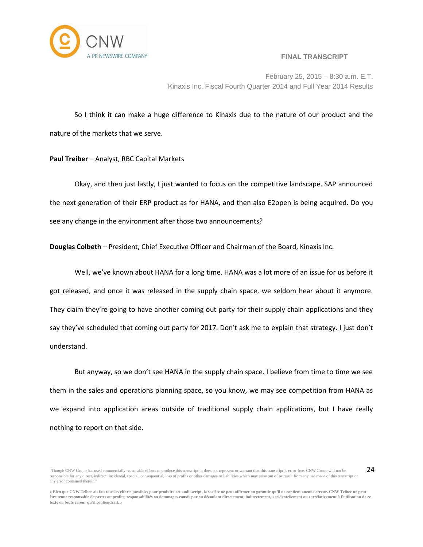

24

February 25, 2015 – 8:30 a.m. E.T. Kinaxis Inc. Fiscal Fourth Quarter 2014 and Full Year 2014 Results

So I think it can make a huge difference to Kinaxis due to the nature of our product and the nature of the markets that we serve.

## **Paul Treiber** – Analyst, RBC Capital Markets

Okay, and then just lastly, I just wanted to focus on the competitive landscape. SAP announced the next generation of their ERP product as for HANA, and then also E2open is being acquired. Do you see any change in the environment after those two announcements?

**Douglas Colbeth** – President, Chief Executive Officer and Chairman of the Board, Kinaxis Inc.

Well, we've known about HANA for a long time. HANA was a lot more of an issue for us before it got released, and once it was released in the supply chain space, we seldom hear about it anymore. They claim they're going to have another coming out party for their supply chain applications and they say they've scheduled that coming out party for 2017. Don't ask me to explain that strategy. I just don't understand.

But anyway, so we don't see HANA in the supply chain space. I believe from time to time we see them in the sales and operations planning space, so you know, we may see competition from HANA as we expand into application areas outside of traditional supply chain applications, but I have really nothing to report on that side.

<sup>&</sup>quot;Though CNW Group has used commercially reasonable efforts to produce this transcript, it does not represent or warrant that this transcript is error-free. CNW Group will not be responsible for any direct, indirect, incidental, special, consequential, loss of profits or other damages or liabilities which may arise out of or result from any use made of this transcript or any error contained therein."

**<sup>«</sup> Bien que CNW Telbec ait fait tous les efforts possibles pour produire cet audioscript, la société ne peut affirmer ou garantir qu'il ne contient aucune erreur. CNW Telbec ne peut être tenue responsable de pertes ou profits, responsabilités ou dommages causés par ou découlant directement, indirectement, accidentellement ou corrélativement à l'utilisation de ce texte ou toute erreur qu'il contiendrait. »**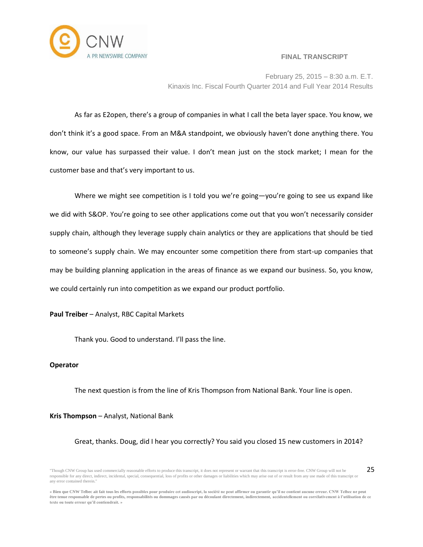

25

February 25, 2015 – 8:30 a.m. E.T. Kinaxis Inc. Fiscal Fourth Quarter 2014 and Full Year 2014 Results

As far as E2open, there's a group of companies in what I call the beta layer space. You know, we don't think it's a good space. From an M&A standpoint, we obviously haven't done anything there. You know, our value has surpassed their value. I don't mean just on the stock market; I mean for the customer base and that's very important to us.

Where we might see competition is I told you we're going—you're going to see us expand like we did with S&OP. You're going to see other applications come out that you won't necessarily consider supply chain, although they leverage supply chain analytics or they are applications that should be tied to someone's supply chain. We may encounter some competition there from start-up companies that may be building planning application in the areas of finance as we expand our business. So, you know, we could certainly run into competition as we expand our product portfolio.

## **Paul Treiber** – Analyst, RBC Capital Markets

Thank you. Good to understand. I'll pass the line.

## **Operator**

The next question is from the line of Kris Thompson from National Bank. Your line is open.

## **Kris Thompson** – Analyst, National Bank

## Great, thanks. Doug, did I hear you correctly? You said you closed 15 new customers in 2014?

<sup>&</sup>quot;Though CNW Group has used commercially reasonable efforts to produce this transcript, it does not represent or warrant that this transcript is error-free. CNW Group will not be responsible for any direct, indirect, incidental, special, consequential, loss of profits or other damages or liabilities which may arise out of or result from any use made of this transcript or any error contained therein."

**<sup>«</sup> Bien que CNW Telbec ait fait tous les efforts possibles pour produire cet audioscript, la société ne peut affirmer ou garantir qu'il ne contient aucune erreur. CNW Telbec ne peut être tenue responsable de pertes ou profits, responsabilités ou dommages causés par ou découlant directement, indirectement, accidentellement ou corrélativement à l'utilisation de ce texte ou toute erreur qu'il contiendrait. »**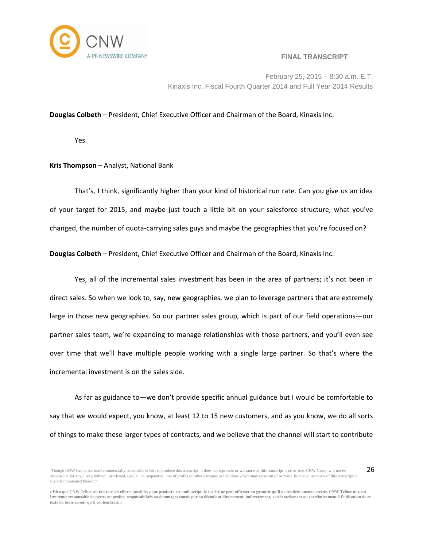

26

February 25, 2015 – 8:30 a.m. E.T. Kinaxis Inc. Fiscal Fourth Quarter 2014 and Full Year 2014 Results

## **Douglas Colbeth** – President, Chief Executive Officer and Chairman of the Board, Kinaxis Inc.

Yes.

#### **Kris Thompson** – Analyst, National Bank

That's, I think, significantly higher than your kind of historical run rate. Can you give us an idea of your target for 2015, and maybe just touch a little bit on your salesforce structure, what you've changed, the number of quota-carrying sales guys and maybe the geographies that you're focused on?

**Douglas Colbeth** – President, Chief Executive Officer and Chairman of the Board, Kinaxis Inc.

Yes, all of the incremental sales investment has been in the area of partners; it's not been in direct sales. So when we look to, say, new geographies, we plan to leverage partners that are extremely large in those new geographies. So our partner sales group, which is part of our field operations—our partner sales team, we're expanding to manage relationships with those partners, and you'll even see over time that we'll have multiple people working with a single large partner. So that's where the incremental investment is on the sales side.

As far as guidance to—we don't provide specific annual guidance but I would be comfortable to say that we would expect, you know, at least 12 to 15 new customers, and as you know, we do all sorts of things to make these larger types of contracts, and we believe that the channel will start to contribute

<sup>&</sup>quot;Though CNW Group has used commercially reasonable efforts to produce this transcript, it does not represent or warrant that this transcript is error-free. CNW Group will not be responsible for any direct, indirect, incidental, special, consequential, loss of profits or other damages or liabilities which may arise out of or result from any use made of this transcript or any error contained therein."

**<sup>«</sup> Bien que CNW Telbec ait fait tous les efforts possibles pour produire cet audioscript, la société ne peut affirmer ou garantir qu'il ne contient aucune erreur. CNW Telbec ne peut être tenue responsable de pertes ou profits, responsabilités ou dommages causés par ou découlant directement, indirectement, accidentellement ou corrélativement à l'utilisation de ce texte ou toute erreur qu'il contiendrait. »**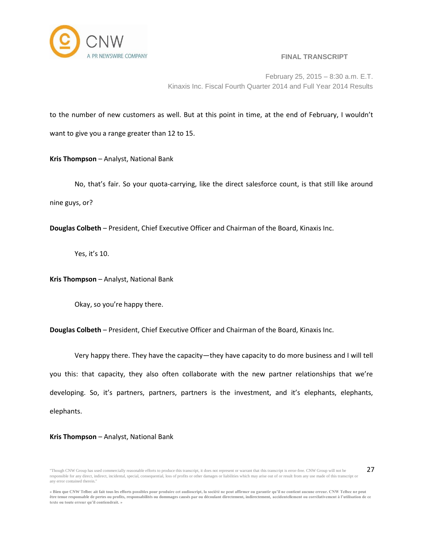

27

February 25, 2015 – 8:30 a.m. E.T. Kinaxis Inc. Fiscal Fourth Quarter 2014 and Full Year 2014 Results

to the number of new customers as well. But at this point in time, at the end of February, I wouldn't want to give you a range greater than 12 to 15.

**Kris Thompson** – Analyst, National Bank

No, that's fair. So your quota-carrying, like the direct salesforce count, is that still like around nine guys, or?

**Douglas Colbeth** – President, Chief Executive Officer and Chairman of the Board, Kinaxis Inc.

Yes, it's 10.

**Kris Thompson** – Analyst, National Bank

Okay, so you're happy there.

**Douglas Colbeth** – President, Chief Executive Officer and Chairman of the Board, Kinaxis Inc.

Very happy there. They have the capacity—they have capacity to do more business and I will tell you this: that capacity, they also often collaborate with the new partner relationships that we're developing. So, it's partners, partners, partners is the investment, and it's elephants, elephants, elephants.

## **Kris Thompson** – Analyst, National Bank

<sup>&</sup>quot;Though CNW Group has used commercially reasonable efforts to produce this transcript, it does not represent or warrant that this transcript is error-free. CNW Group will not be responsible for any direct, indirect, incidental, special, consequential, loss of profits or other damages or liabilities which may arise out of or result from any use made of this transcript or any error contained therein."

**<sup>«</sup> Bien que CNW Telbec ait fait tous les efforts possibles pour produire cet audioscript, la société ne peut affirmer ou garantir qu'il ne contient aucune erreur. CNW Telbec ne peut être tenue responsable de pertes ou profits, responsabilités ou dommages causés par ou découlant directement, indirectement, accidentellement ou corrélativement à l'utilisation de ce texte ou toute erreur qu'il contiendrait. »**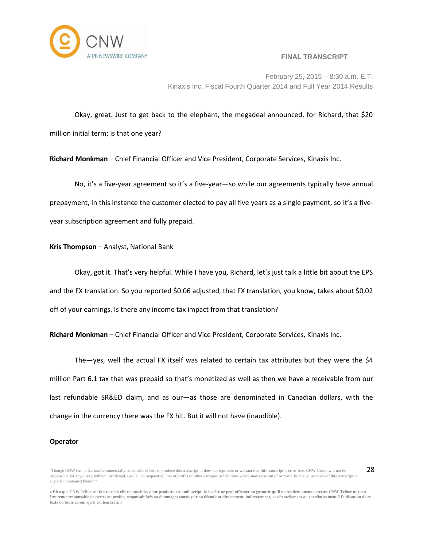

28

February 25, 2015 – 8:30 a.m. E.T. Kinaxis Inc. Fiscal Fourth Quarter 2014 and Full Year 2014 Results

Okay, great. Just to get back to the elephant, the megadeal announced, for Richard, that \$20 million initial term; is that one year?

**Richard Monkman** – Chief Financial Officer and Vice President, Corporate Services, Kinaxis Inc.

No, it's a five-year agreement so it's a five-year—so while our agreements typically have annual prepayment, in this instance the customer elected to pay all five years as a single payment, so it's a fiveyear subscription agreement and fully prepaid.

# **Kris Thompson** – Analyst, National Bank

Okay, got it. That's very helpful. While I have you, Richard, let's just talk a little bit about the EPS and the FX translation. So you reported \$0.06 adjusted, that FX translation, you know, takes about \$0.02 off of your earnings. Is there any income tax impact from that translation?

**Richard Monkman** – Chief Financial Officer and Vice President, Corporate Services, Kinaxis Inc.

The—yes, well the actual FX itself was related to certain tax attributes but they were the \$4 million Part 6.1 tax that was prepaid so that's monetized as well as then we have a receivable from our last refundable SR&ED claim, and as our—as those are denominated in Canadian dollars, with the change in the currency there was the FX hit. But it will not have (inaudible).

## **Operator**

<sup>&</sup>quot;Though CNW Group has used commercially reasonable efforts to produce this transcript, it does not represent or warrant that this transcript is error-free. CNW Group will not be responsible for any direct, indirect, incidental, special, consequential, loss of profits or other damages or liabilities which may arise out of or result from any use made of this transcript or any error contained therein."

**<sup>«</sup> Bien que CNW Telbec ait fait tous les efforts possibles pour produire cet audioscript, la société ne peut affirmer ou garantir qu'il ne contient aucune erreur. CNW Telbec ne peut être tenue responsable de pertes ou profits, responsabilités ou dommages causés par ou découlant directement, indirectement, accidentellement ou corrélativement à l'utilisation de ce texte ou toute erreur qu'il contiendrait. »**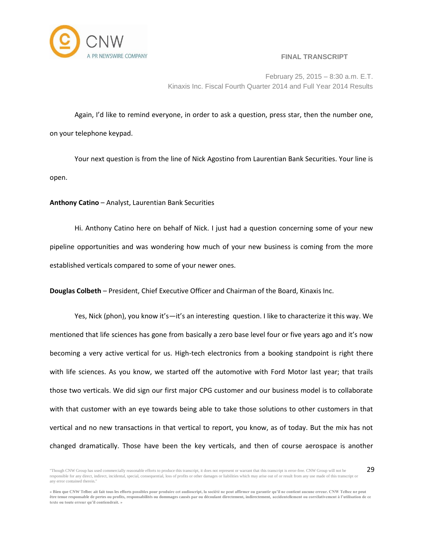

29

February 25, 2015 – 8:30 a.m. E.T. Kinaxis Inc. Fiscal Fourth Quarter 2014 and Full Year 2014 Results

Again, I'd like to remind everyone, in order to ask a question, press star, then the number one, on your telephone keypad.

Your next question is from the line of Nick Agostino from Laurentian Bank Securities. Your line is open.

**Anthony Catino** – Analyst, Laurentian Bank Securities

Hi. Anthony Catino here on behalf of Nick. I just had a question concerning some of your new pipeline opportunities and was wondering how much of your new business is coming from the more established verticals compared to some of your newer ones.

**Douglas Colbeth** – President, Chief Executive Officer and Chairman of the Board, Kinaxis Inc.

Yes, Nick (phon), you know it's—it's an interesting question. I like to characterize it this way. We mentioned that life sciences has gone from basically a zero base level four or five years ago and it's now becoming a very active vertical for us. High-tech electronics from a booking standpoint is right there with life sciences. As you know, we started off the automotive with Ford Motor last year; that trails those two verticals. We did sign our first major CPG customer and our business model is to collaborate with that customer with an eye towards being able to take those solutions to other customers in that vertical and no new transactions in that vertical to report, you know, as of today. But the mix has not changed dramatically. Those have been the key verticals, and then of course aerospace is another

<sup>&</sup>quot;Though CNW Group has used commercially reasonable efforts to produce this transcript, it does not represent or warrant that this transcript is error-free. CNW Group will not be responsible for any direct, indirect, incidental, special, consequential, loss of profits or other damages or liabilities which may arise out of or result from any use made of this transcript or any error contained therein."

**<sup>«</sup> Bien que CNW Telbec ait fait tous les efforts possibles pour produire cet audioscript, la société ne peut affirmer ou garantir qu'il ne contient aucune erreur. CNW Telbec ne peut être tenue responsable de pertes ou profits, responsabilités ou dommages causés par ou découlant directement, indirectement, accidentellement ou corrélativement à l'utilisation de ce texte ou toute erreur qu'il contiendrait. »**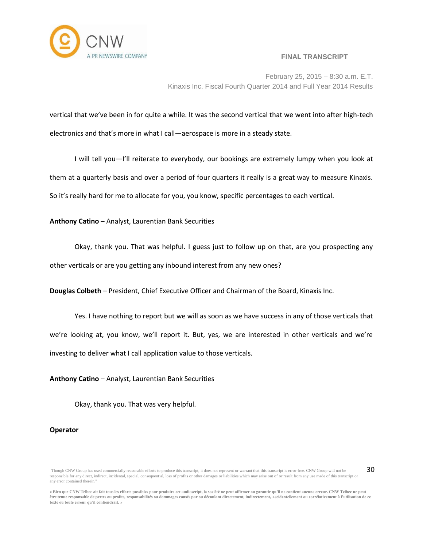

February 25, 2015 – 8:30 a.m. E.T. Kinaxis Inc. Fiscal Fourth Quarter 2014 and Full Year 2014 Results

vertical that we've been in for quite a while. It was the second vertical that we went into after high-tech electronics and that's more in what I call—aerospace is more in a steady state.

I will tell you—I'll reiterate to everybody, our bookings are extremely lumpy when you look at them at a quarterly basis and over a period of four quarters it really is a great way to measure Kinaxis. So it's really hard for me to allocate for you, you know, specific percentages to each vertical.

## **Anthony Catino** – Analyst, Laurentian Bank Securities

Okay, thank you. That was helpful. I guess just to follow up on that, are you prospecting any other verticals or are you getting any inbound interest from any new ones?

**Douglas Colbeth** – President, Chief Executive Officer and Chairman of the Board, Kinaxis Inc.

Yes. I have nothing to report but we will as soon as we have success in any of those verticals that we're looking at, you know, we'll report it. But, yes, we are interested in other verticals and we're investing to deliver what I call application value to those verticals.

**Anthony Catino** – Analyst, Laurentian Bank Securities

Okay, thank you. That was very helpful.

## **Operator**

<sup>&</sup>quot;Though CNW Group has used commercially reasonable efforts to produce this transcript, it does not represent or warrant that this transcript is error-free. CNW Group will not be responsible for any direct, indirect, incidental, special, consequential, loss of profits or other damages or liabilities which may arise out of or result from any use made of this transcript or any error contained therein."

**<sup>«</sup> Bien que CNW Telbec ait fait tous les efforts possibles pour produire cet audioscript, la société ne peut affirmer ou garantir qu'il ne contient aucune erreur. CNW Telbec ne peut être tenue responsable de pertes ou profits, responsabilités ou dommages causés par ou découlant directement, indirectement, accidentellement ou corrélativement à l'utilisation de ce texte ou toute erreur qu'il contiendrait. »**